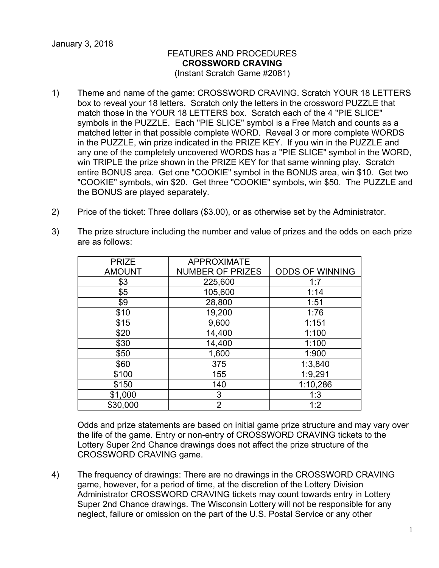## FEATURES AND PROCEDURES **CROSSWORD CRAVING**

(Instant Scratch Game #2081)

- 1) Theme and name of the game: CROSSWORD CRAVING. Scratch YOUR 18 LETTERS box to reveal your 18 letters. Scratch only the letters in the crossword PUZZLE that match those in the YOUR 18 LETTERS box. Scratch each of the 4 "PIE SLICE" symbols in the PUZZLE. Each "PIE SLICE" symbol is a Free Match and counts as a matched letter in that possible complete WORD. Reveal 3 or more complete WORDS in the PUZZLE, win prize indicated in the PRIZE KEY. If you win in the PUZZLE and any one of the completely uncovered WORDS has a "PIE SLICE" symbol in the WORD, win TRIPLE the prize shown in the PRIZE KEY for that same winning play. Scratch entire BONUS area. Get one "COOKIE" symbol in the BONUS area, win \$10. Get two "COOKIE" symbols, win \$20. Get three "COOKIE" symbols, win \$50. The PUZZLE and the BONUS are played separately.
- 2) Price of the ticket: Three dollars (\$3.00), or as otherwise set by the Administrator.
- 3) The prize structure including the number and value of prizes and the odds on each prize are as follows:

| <b>PRIZE</b>  | <b>APPROXIMATE</b>      |                        |
|---------------|-------------------------|------------------------|
| <b>AMOUNT</b> | <b>NUMBER OF PRIZES</b> | <b>ODDS OF WINNING</b> |
| \$3           | 225,600                 | 1:7                    |
| \$5           | 105,600                 | 1:14                   |
| \$9           | 28,800                  | 1:51                   |
| \$10          | 19,200                  | 1:76                   |
| \$15          | 9,600                   | 1:151                  |
| \$20          | 14,400                  | 1:100                  |
| \$30          | 14,400                  | 1:100                  |
| \$50          | 1,600                   | 1:900                  |
| \$60          | 375                     | 1:3,840                |
| \$100         | 155                     | 1:9,291                |
| \$150         | 140                     | 1:10,286               |
| \$1,000       | 3                       | 1:3                    |
| \$30,000      | $\overline{2}$          | 1:2                    |

Odds and prize statements are based on initial game prize structure and may vary over the life of the game. Entry or non-entry of CROSSWORD CRAVING tickets to the Lottery Super 2nd Chance drawings does not affect the prize structure of the CROSSWORD CRAVING game.

4) The frequency of drawings: There are no drawings in the CROSSWORD CRAVING game, however, for a period of time, at the discretion of the Lottery Division Administrator CROSSWORD CRAVING tickets may count towards entry in Lottery Super 2nd Chance drawings. The Wisconsin Lottery will not be responsible for any neglect, failure or omission on the part of the U.S. Postal Service or any other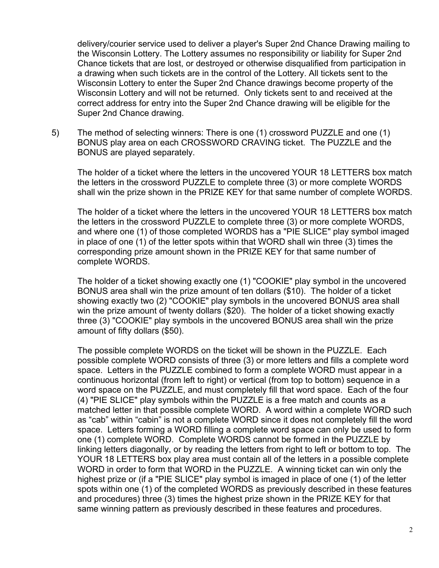delivery/courier service used to deliver a player's Super 2nd Chance Drawing mailing to the Wisconsin Lottery. The Lottery assumes no responsibility or liability for Super 2nd Chance tickets that are lost, or destroyed or otherwise disqualified from participation in a drawing when such tickets are in the control of the Lottery. All tickets sent to the Wisconsin Lottery to enter the Super 2nd Chance drawings become property of the Wisconsin Lottery and will not be returned. Only tickets sent to and received at the correct address for entry into the Super 2nd Chance drawing will be eligible for the Super 2nd Chance drawing.

5) The method of selecting winners: There is one (1) crossword PUZZLE and one (1) BONUS play area on each CROSSWORD CRAVING ticket. The PUZZLE and the BONUS are played separately.

The holder of a ticket where the letters in the uncovered YOUR 18 LETTERS box match the letters in the crossword PUZZLE to complete three (3) or more complete WORDS shall win the prize shown in the PRIZE KEY for that same number of complete WORDS.

The holder of a ticket where the letters in the uncovered YOUR 18 LETTERS box match the letters in the crossword PUZZLE to complete three (3) or more complete WORDS, and where one (1) of those completed WORDS has a "PIE SLICE" play symbol imaged in place of one (1) of the letter spots within that WORD shall win three (3) times the corresponding prize amount shown in the PRIZE KEY for that same number of complete WORDS.

The holder of a ticket showing exactly one (1) "COOKIE" play symbol in the uncovered BONUS area shall win the prize amount of ten dollars (\$10). The holder of a ticket showing exactly two (2) "COOKIE" play symbols in the uncovered BONUS area shall win the prize amount of twenty dollars (\$20). The holder of a ticket showing exactly three (3) "COOKIE" play symbols in the uncovered BONUS area shall win the prize amount of fifty dollars (\$50).

The possible complete WORDS on the ticket will be shown in the PUZZLE. Each possible complete WORD consists of three (3) or more letters and fills a complete word space. Letters in the PUZZLE combined to form a complete WORD must appear in a continuous horizontal (from left to right) or vertical (from top to bottom) sequence in a word space on the PUZZLE, and must completely fill that word space. Each of the four (4) "PIE SLICE" play symbols within the PUZZLE is a free match and counts as a matched letter in that possible complete WORD. A word within a complete WORD such as "cab" within "cabin" is not a complete WORD since it does not completely fill the word space. Letters forming a WORD filling a complete word space can only be used to form one (1) complete WORD. Complete WORDS cannot be formed in the PUZZLE by linking letters diagonally, or by reading the letters from right to left or bottom to top. The YOUR 18 LETTERS box play area must contain all of the letters in a possible complete WORD in order to form that WORD in the PUZZLE. A winning ticket can win only the highest prize or (if a "PIE SLICE" play symbol is imaged in place of one (1) of the letter spots within one (1) of the completed WORDS as previously described in these features and procedures) three (3) times the highest prize shown in the PRIZE KEY for that same winning pattern as previously described in these features and procedures.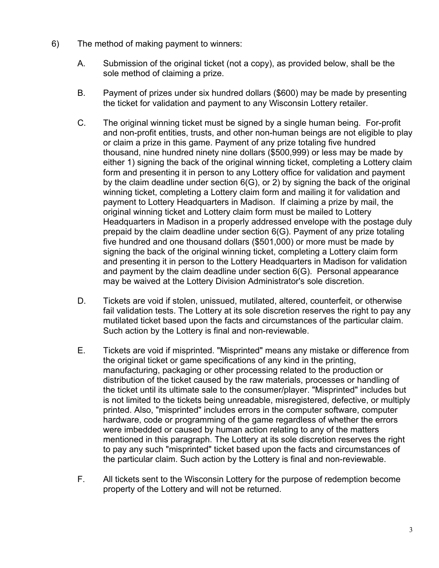- 6) The method of making payment to winners:
	- A. Submission of the original ticket (not a copy), as provided below, shall be the sole method of claiming a prize.
	- B. Payment of prizes under six hundred dollars (\$600) may be made by presenting the ticket for validation and payment to any Wisconsin Lottery retailer.
	- C. The original winning ticket must be signed by a single human being. For-profit and non-profit entities, trusts, and other non-human beings are not eligible to play or claim a prize in this game. Payment of any prize totaling five hundred thousand, nine hundred ninety nine dollars (\$500,999) or less may be made by either 1) signing the back of the original winning ticket, completing a Lottery claim form and presenting it in person to any Lottery office for validation and payment by the claim deadline under section 6(G), or 2) by signing the back of the original winning ticket, completing a Lottery claim form and mailing it for validation and payment to Lottery Headquarters in Madison. If claiming a prize by mail, the original winning ticket and Lottery claim form must be mailed to Lottery Headquarters in Madison in a properly addressed envelope with the postage duly prepaid by the claim deadline under section 6(G). Payment of any prize totaling five hundred and one thousand dollars (\$501,000) or more must be made by signing the back of the original winning ticket, completing a Lottery claim form and presenting it in person to the Lottery Headquarters in Madison for validation and payment by the claim deadline under section 6(G). Personal appearance may be waived at the Lottery Division Administrator's sole discretion.
	- D. Tickets are void if stolen, unissued, mutilated, altered, counterfeit, or otherwise fail validation tests. The Lottery at its sole discretion reserves the right to pay any mutilated ticket based upon the facts and circumstances of the particular claim. Such action by the Lottery is final and non-reviewable.
	- E. Tickets are void if misprinted. "Misprinted" means any mistake or difference from the original ticket or game specifications of any kind in the printing, manufacturing, packaging or other processing related to the production or distribution of the ticket caused by the raw materials, processes or handling of the ticket until its ultimate sale to the consumer/player. "Misprinted" includes but is not limited to the tickets being unreadable, misregistered, defective, or multiply printed. Also, "misprinted" includes errors in the computer software, computer hardware, code or programming of the game regardless of whether the errors were imbedded or caused by human action relating to any of the matters mentioned in this paragraph. The Lottery at its sole discretion reserves the right to pay any such "misprinted" ticket based upon the facts and circumstances of the particular claim. Such action by the Lottery is final and non-reviewable.
	- F. All tickets sent to the Wisconsin Lottery for the purpose of redemption become property of the Lottery and will not be returned.